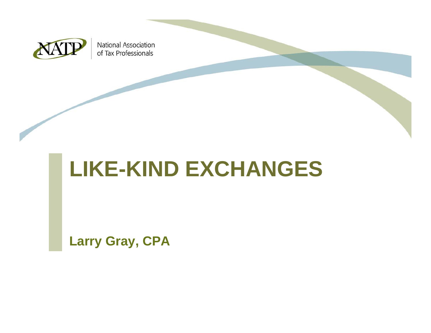

National Association of Tax Professionals

# **LIKE-KIND EXCHANGES**

**Larry Gray, CPA**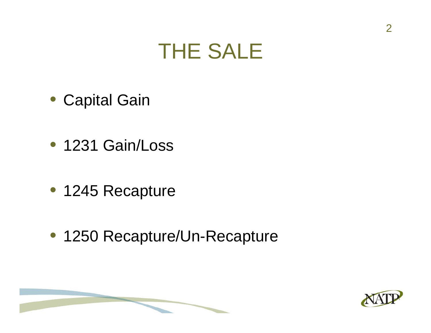### THE SALE

- Capital Gain
- 1231 Gain/Loss
- 1245 Recapture
- 1250 Recapture/Un-Recapture

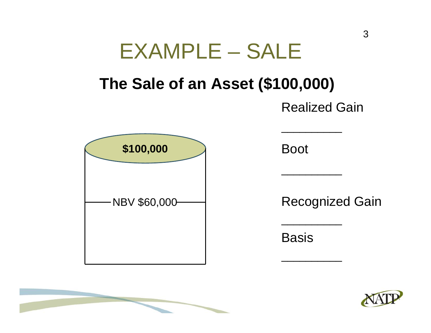

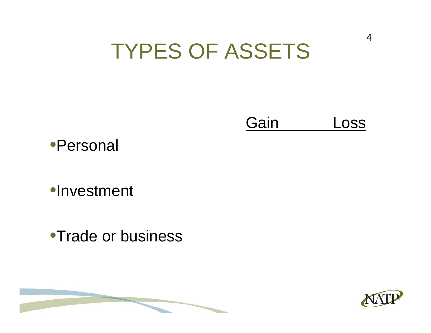### TYPES OF ASSETS

GainLoss



•Investment

•Trade or business



4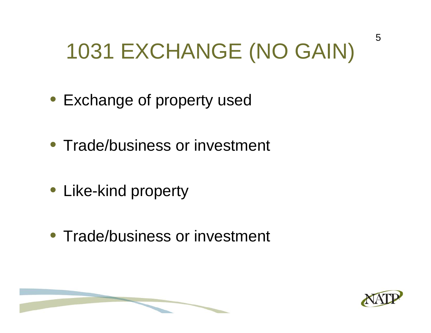# 1031 EXCHANGE (NO GAIN)

- Exchange of property used
- Trade/business or investment
- Like-kind property
- Trade/business or investment

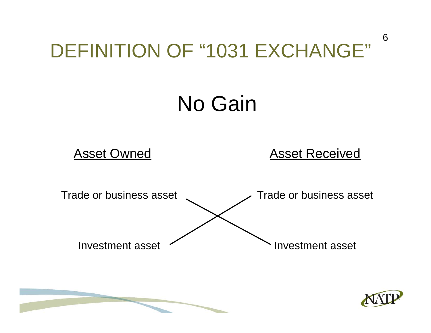### DEFINITION OF "1031 EXCHANGE"

# No Gain

#### Asset Owned Asset Received





6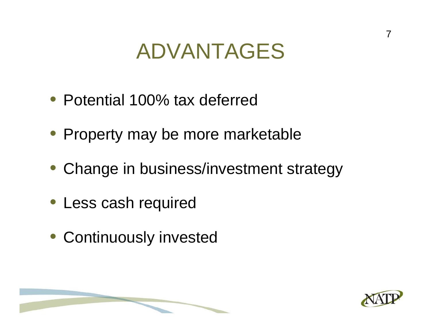### ADVANTAGES

- Potential 100% tax deferred
- Property may be more marketable
- Change in business/investment strategy
- Less cash required
- Continuously invested



7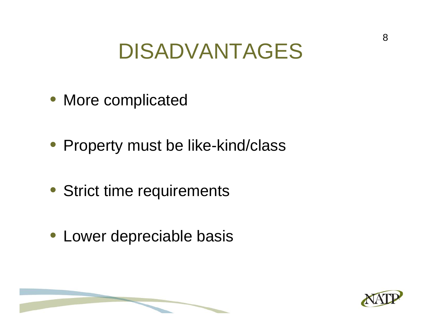### DISADVANTAGES

- More complicated
- Property must be like-kind/class
- Strict time requirements
- Lower depreciable basis

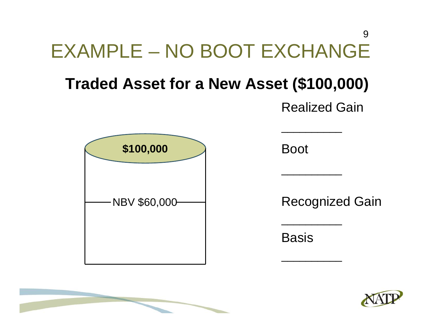### EXAMPLE – NO BOOT EXCHANGE**Traded Asset for a New Asset (\$100,000)** Realized Gain  $\mathcal{L}_\mathcal{L}$  , we can also the contribution of the contribution of the contribution of the contribution of the contribution of the contribution of the contribution of the contribution of the contribution of the contribu  $\mathcal{L}_\mathcal{L}$  , we can consider the constant of the constant of the constant of the constant of the constant of the constant of the constant of the constant of the constant of the constant of the constant of the constant  $\mathcal{L}_\mathcal{L}$  , we can consider the constant of the constant of the constant of the constant of the constant of the constant of the constant of the constant of the constant of the constant of the constant of the constant Boot Recognized Gain **Basis \$100,000** NBV \$60,000 9

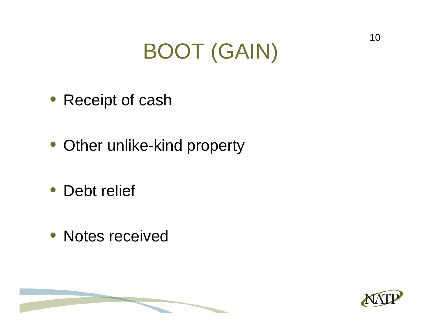# BOOT (GAIN)

- Receipt of cash
- Other unlike-kind property
- Debt relief
- Notes received

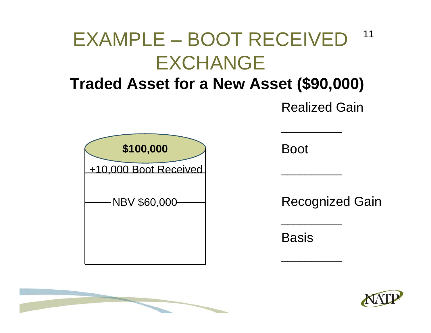#### EXAMPLE – BOOT RECEIVED EXCHANGE11

#### **Traded Asset for a New Asset (\$90,000)**

Realized Gain



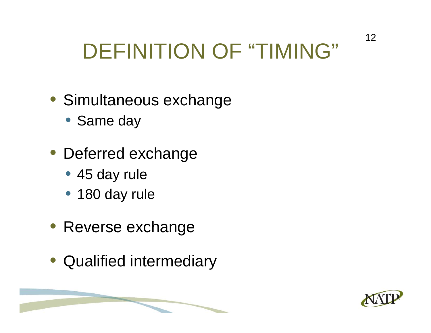# DEFINITION OF "TIMING"

- Simultaneous exchange
	- Same day
- Deferred exchange
	- 45 day rule
	- 180 day rule
- Reverse exchange
- Qualified intermediary

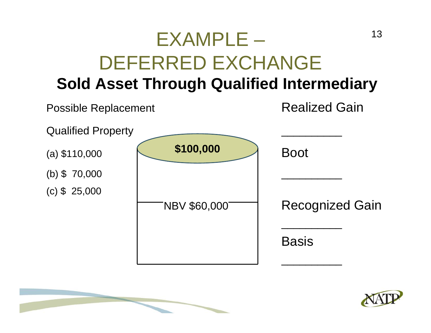#### EXAMPLE – DEFERRED EXCHANGE**Sold Asset Through Qualified Intermediary** 13



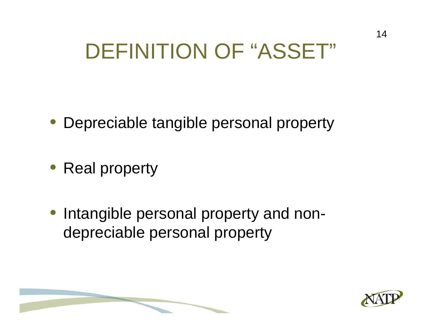### DEFINITION OF "ASSET"

- Depreciable tangible personal property
- Real property
- Intangible personal property and nondepreciable personal property

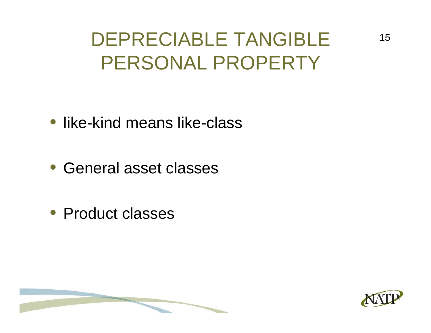DEPRECIABLE TANGIBLE PERSONAL PROPERTY

#### • like-kind means like-class

- General asset classes
- Product classes

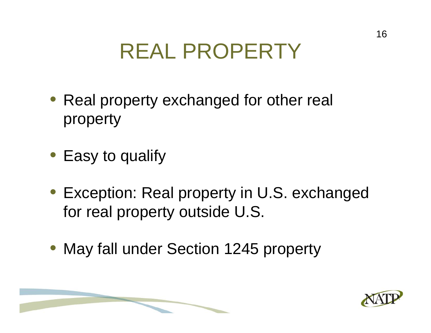# REAL PROPERTY

- Real property exchanged for other real property
- Easy to qualify
- Exception: Real property in U.S. exchanged for real property outside U.S.
- May fall under Section 1245 property

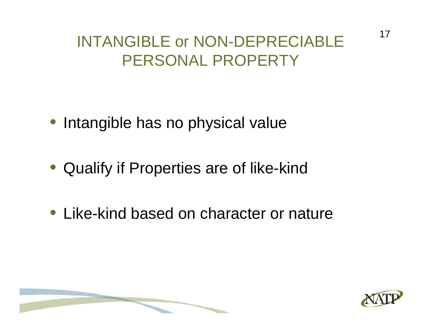#### INTANGIBLE or NON-DEPRECIABLE PERSONAL PROPERTY

- Intangible has no physical value
- Qualify if Properties are of like-kind
- Like-kind based on character or nature

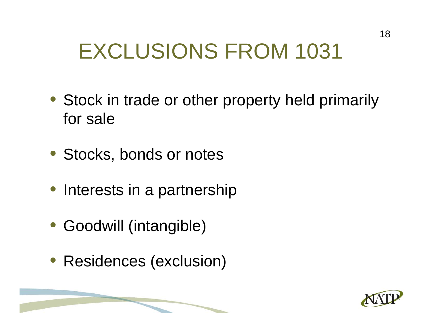# EXCLUSIONS FROM 1031

- Stock in trade or other property held primarily for sale
- Stocks, bonds or notes
- Interests in a partnership
- Goodwill (intangible)
- Residences (exclusion)

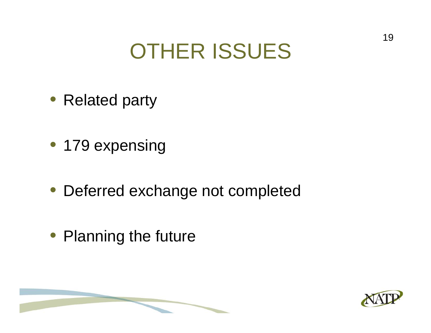## OTHER ISSUES

- Related party
- 179 expensing
- Deferred exchange not completed
- Planning the future

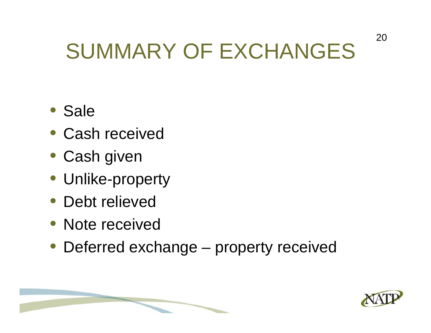# SUMMARY OF EXCHANGES

- Sale
- Cash received
- Cash given
- Unlike-property
- Debt relieved
- Note received
- Deferred exchange property received

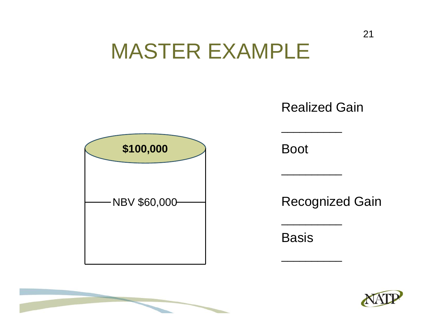